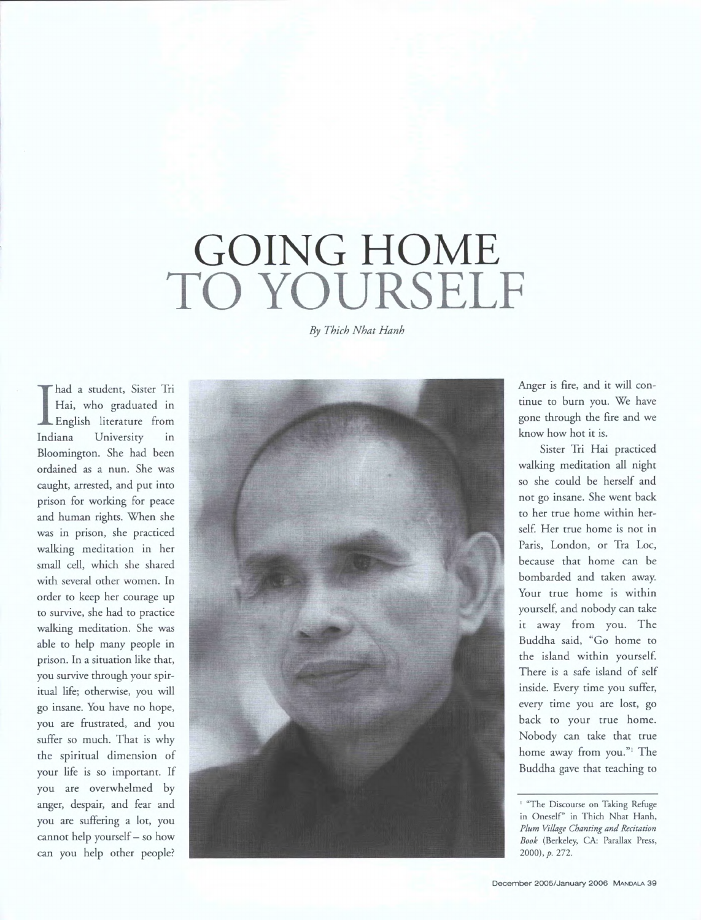## GOING HOME **TO YOURSELF**

*By Thich Nhat Hanh* 

I had a student, Sister In<br>
Hai, who graduated in<br>
English literature from had a student, Sister Tri Hai, who graduated in Indiana University in Bloomington. She had been ordained as a nun. She was caught, arrested, and put into prison for working for peace and human rights. When she was in prison, she practiced walking meditation in her small cell, which she shared with several other women. In order to keep her courage up to survive, she had to practice walking meditation. She was able to help many people in prison. In a situation like that, you survive through your spiritual life; otherwise, you will go insane. You have no hope, you are frustrated, and you suffer so much. That is why the spiritual dimension of your life is so important. If you are overwhelmed by anger, despair, and fear and you are suffering a lot, you cannot help yourself— so how can you help other people?



Anger is fire, and it will continue to burn you. We have gone through the fire and we know how hot it is.

Sister Tri Hai practiced walking meditation all night so she could be herself and not go insane. She went back to her true home within herself. Her true home is not in Paris, London, or Tra Loc, because that home can be bombarded and taken away. Your true home is within yourself, and nobody can take it away from you. The Buddha said, "Go home to the island within yourself. There is a safe island of self inside. Every time you suffer, every time you are lost, go back to your true home. Nobody can take that true home away from you."<sup>1</sup> The Buddha gave that teaching to

<sup>&#</sup>x27; "The Discourse on Taking Refuge in Oneself' in Thich Nhat Hanh, *Plum Village Chanting and Recitation Book* (Berkeley, CA: Parallax Press, 2000),p. 272.